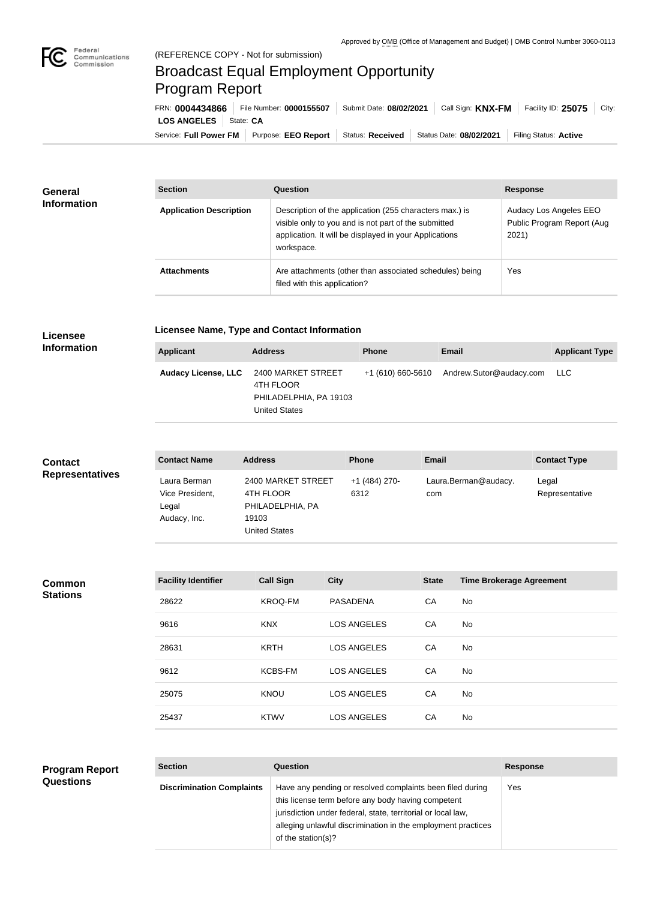

## Broadcast Equal Employment Opportunity Program Report

Service: Full Power FM Purpose: EEO Report | Status: Received | Status Date: 08/02/2021 | Filing Status: Active **LOS ANGELES** | State: CA FRN: **0004434866** File Number: **0000155507** Submit Date: **08/02/2021** Call Sign: **KNX-FM** Facility ID: **25075** City:

| <b>General</b><br><b>Information</b> | <b>Section</b>                 | <b>Question</b>                                                                                                                                                                         | <b>Response</b>                                               |  |
|--------------------------------------|--------------------------------|-----------------------------------------------------------------------------------------------------------------------------------------------------------------------------------------|---------------------------------------------------------------|--|
|                                      | <b>Application Description</b> | Description of the application (255 characters max.) is<br>visible only to you and is not part of the submitted<br>application. It will be displayed in your Applications<br>workspace. | Audacy Los Angeles EEO<br>Public Program Report (Aug<br>2021) |  |
|                                      | <b>Attachments</b>             | Are attachments (other than associated schedules) being<br>filed with this application?                                                                                                 | Yes                                                           |  |

## **Licensee Information**

**Licensee Name, Type and Contact Information**

| Applicant                  | <b>Address</b>                                                                    | <b>Phone</b> | <b>Email</b>                              | <b>Applicant Type</b> |
|----------------------------|-----------------------------------------------------------------------------------|--------------|-------------------------------------------|-----------------------|
| <b>Audacy License, LLC</b> | 2400 MARKET STREET<br>4TH FLOOR<br>PHILADELPHIA, PA 19103<br><b>United States</b> |              | +1 (610) 660-5610 Andrew.Sutor@audacy.com | LLC.                  |

| <b>Contact</b>         | <b>Contact Name</b>                                      | <b>Address</b>                                                                       | <b>Phone</b>          | <b>Email</b>                | <b>Contact Type</b>     |
|------------------------|----------------------------------------------------------|--------------------------------------------------------------------------------------|-----------------------|-----------------------------|-------------------------|
| <b>Representatives</b> | Laura Berman<br>Vice President,<br>Legal<br>Audacy, Inc. | 2400 MARKET STREET<br>4TH FLOOR<br>PHILADELPHIA, PA<br>19103<br><b>United States</b> | +1 (484) 270-<br>6312 | Laura.Berman@audacy.<br>com | Legal<br>Representative |

## **Common Stations**

| <b>Facility Identifier</b> | <b>Call Sign</b> | <b>City</b>        | <b>State</b> | <b>Time Brokerage Agreement</b> |
|----------------------------|------------------|--------------------|--------------|---------------------------------|
| 28622                      | <b>KROQ-FM</b>   | <b>PASADENA</b>    | CA           | No                              |
| 9616                       | <b>KNX</b>       | <b>LOS ANGELES</b> | CA           | No                              |
| 28631                      | <b>KRTH</b>      | <b>LOS ANGELES</b> | CA           | No                              |
| 9612                       | <b>KCBS-FM</b>   | <b>LOS ANGELES</b> | CA           | No                              |
| 25075                      | <b>KNOU</b>      | <b>LOS ANGELES</b> | CA           | No                              |
| 25437                      | <b>KTWV</b>      | <b>LOS ANGELES</b> | CA           | No                              |

## **Program Report Questions**

| <b>Section</b>                   | Question                                                                                                                                                                                                                                                              | <b>Response</b> |
|----------------------------------|-----------------------------------------------------------------------------------------------------------------------------------------------------------------------------------------------------------------------------------------------------------------------|-----------------|
| <b>Discrimination Complaints</b> | Have any pending or resolved complaints been filed during<br>this license term before any body having competent<br>jurisdiction under federal, state, territorial or local law,<br>alleging unlawful discrimination in the employment practices<br>of the station(s)? | Yes             |